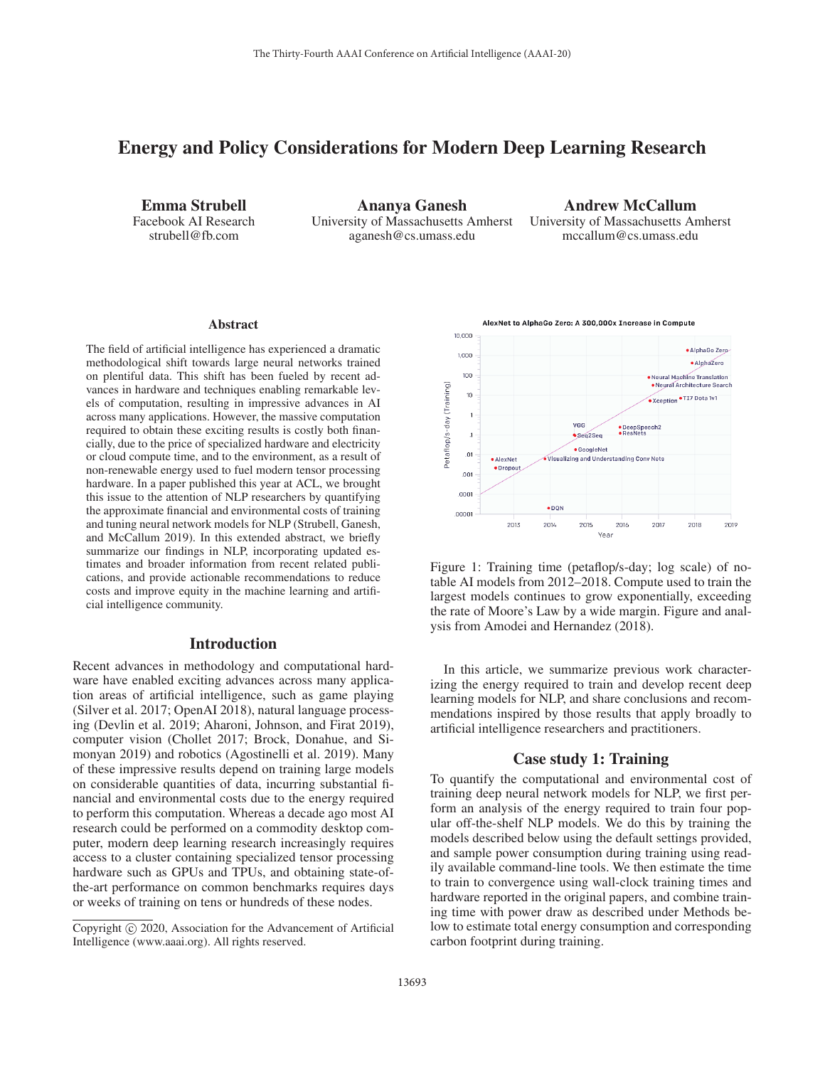# Energy and Policy Considerations for Modern Deep Learning Research

Emma Strubell Facebook AI Research strubell@fb.com

Ananya Ganesh University of Massachusetts Amherst aganesh@cs.umass.edu

Andrew McCallum University of Massachusetts Amherst mccallum@cs.umass.edu

#### Abstract

The field of artificial intelligence has experienced a dramatic methodological shift towards large neural networks trained on plentiful data. This shift has been fueled by recent advances in hardware and techniques enabling remarkable levels of computation, resulting in impressive advances in AI across many applications. However, the massive computation required to obtain these exciting results is costly both financially, due to the price of specialized hardware and electricity or cloud compute time, and to the environment, as a result of non-renewable energy used to fuel modern tensor processing hardware. In a paper published this year at ACL, we brought this issue to the attention of NLP researchers by quantifying the approximate financial and environmental costs of training and tuning neural network models for NLP (Strubell, Ganesh, and McCallum 2019). In this extended abstract, we briefly summarize our findings in NLP, incorporating updated estimates and broader information from recent related publications, and provide actionable recommendations to reduce costs and improve equity in the machine learning and artificial intelligence community.

# Introduction

Recent advances in methodology and computational hardware have enabled exciting advances across many application areas of artificial intelligence, such as game playing (Silver et al. 2017; OpenAI 2018), natural language processing (Devlin et al. 2019; Aharoni, Johnson, and Firat 2019), computer vision (Chollet 2017; Brock, Donahue, and Simonyan 2019) and robotics (Agostinelli et al. 2019). Many of these impressive results depend on training large models on considerable quantities of data, incurring substantial financial and environmental costs due to the energy required to perform this computation. Whereas a decade ago most AI research could be performed on a commodity desktop computer, modern deep learning research increasingly requires access to a cluster containing specialized tensor processing hardware such as GPUs and TPUs, and obtaining state-ofthe-art performance on common benchmarks requires days or weeks of training on tens or hundreds of these nodes.

AlexNet to AlphaGo Zero: A 300.000x Increase in Compute



Figure 1: Training time (petaflop/s-day; log scale) of notable AI models from 2012–2018. Compute used to train the largest models continues to grow exponentially, exceeding the rate of Moore's Law by a wide margin. Figure and analysis from Amodei and Hernandez (2018).

In this article, we summarize previous work characterizing the energy required to train and develop recent deep learning models for NLP, and share conclusions and recommendations inspired by those results that apply broadly to artificial intelligence researchers and practitioners.

### Case study 1: Training

To quantify the computational and environmental cost of training deep neural network models for NLP, we first perform an analysis of the energy required to train four popular off-the-shelf NLP models. We do this by training the models described below using the default settings provided, and sample power consumption during training using readily available command-line tools. We then estimate the time to train to convergence using wall-clock training times and hardware reported in the original papers, and combine training time with power draw as described under Methods below to estimate total energy consumption and corresponding carbon footprint during training.

Copyright  $\odot$  2020, Association for the Advancement of Artificial Intelligence (www.aaai.org). All rights reserved.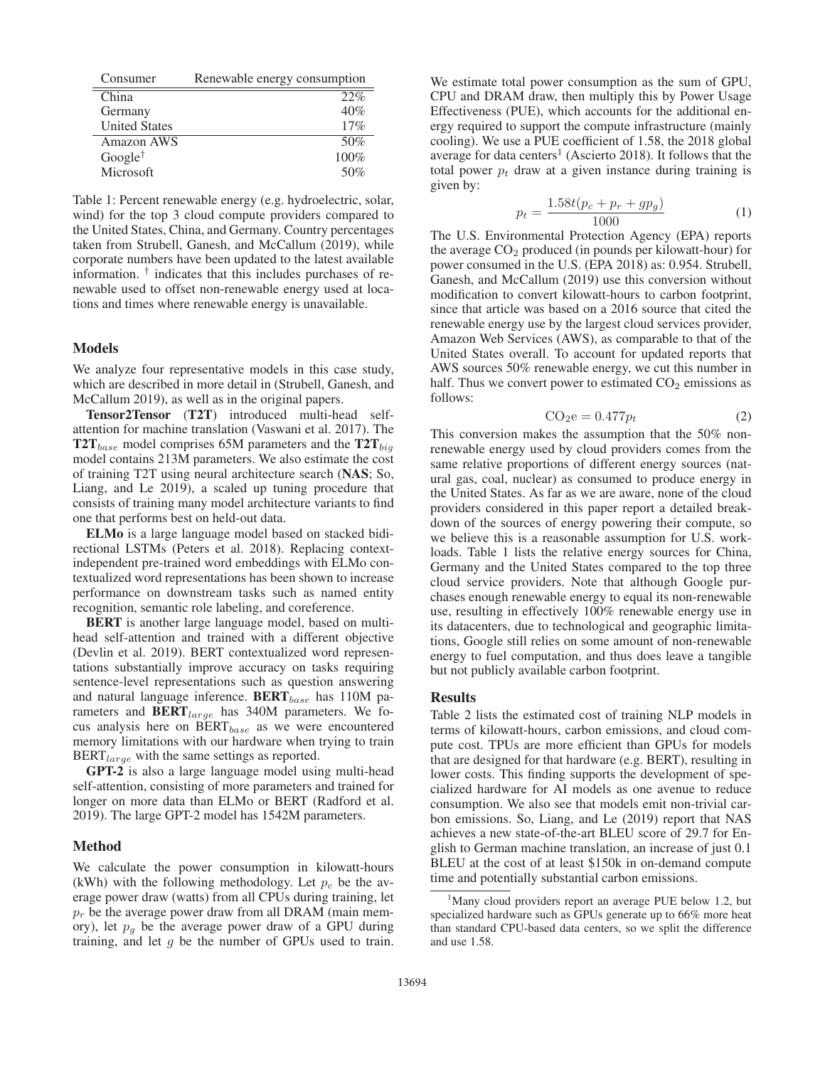| Consumer                               | Renewable energy consumption |
|----------------------------------------|------------------------------|
| China                                  | 22%                          |
| Germany                                | 40%                          |
| <b>United States</b>                   | 17%                          |
| <b>Amazon AWS</b>                      | 50%                          |
| Google <sup><math>\dagger</math></sup> | 100%                         |
| Microsoft                              | 50%                          |

Table 1: Percent renewable energy (e.g. hydroelectric, solar, wind) for the top 3 cloud compute providers compared to the United States, China, and Germany. Country percentages taken from Strubell, Ganesh, and McCallum (2019), while corporate numbers have been updated to the latest available information.  $\dagger$  indicates that this includes purchases of renewable used to offset non-renewable energy used at locations and times where renewable energy is unavailable.

### Models

We analyze four representative models in this case study, which are described in more detail in (Strubell, Ganesh, and McCallum 2019), as well as in the original papers.

Tensor2Tensor (T2T) introduced multi-head selfattention for machine translation (Vaswani et al. 2017). The  $T2T_{base}$  model comprises 65M parameters and the  $T2T_{big}$ model contains 213M parameters. We also estimate the cost of training T2T using neural architecture search (NAS; So, Liang, and Le 2019), a scaled up tuning procedure that consists of training many model architecture variants to find one that performs best on held-out data.

ELMo is a large language model based on stacked bidirectional LSTMs (Peters et al. 2018). Replacing contextindependent pre-trained word embeddings with ELMo contextualized word representations has been shown to increase performance on downstream tasks such as named entity recognition, semantic role labeling, and coreference.

BERT is another large language model, based on multihead self-attention and trained with a different objective (Devlin et al. 2019). BERT contextualized word representations substantially improve accuracy on tasks requiring sentence-level representations such as question answering and natural language inference.  $\text{BERT}_{base}$  has 110M parameters and  $BERT_{large}$  has 340M parameters. We focus analysis here on  $BERT_{base}$  as we were encountered memory limitations with our hardware when trying to train  $BERT_{large}$  with the same settings as reported.

GPT-2 is also a large language model using multi-head self-attention, consisting of more parameters and trained for longer on more data than ELMo or BERT (Radford et al. 2019). The large GPT-2 model has 1542M parameters.

#### Method

We calculate the power consumption in kilowatt-hours (kWh) with the following methodology. Let  $p_c$  be the average power draw (watts) from all CPUs during training, let  $p_r$  be the average power draw from all DRAM (main memory), let  $p_q$  be the average power draw of a GPU during training, and let  $q$  be the number of GPUs used to train.

We estimate total power consumption as the sum of GPU, CPU and DRAM draw, then multiply this by Power Usage Effectiveness (PUE), which accounts for the additional energy required to support the compute infrastructure (mainly cooling). We use a PUE coefficient of 1.58, the 2018 global average for data centers<sup>1</sup> (Ascierto 2018). It follows that the total power  $p_t$  draw at a given instance during training is given by:

$$
p_t = \frac{1.58t(p_c + p_r + gp_g)}{1000} \tag{1}
$$

The U.S. Environmental Protection Agency (EPA) reports the average  $CO<sub>2</sub>$  produced (in pounds per kilowatt-hour) for power consumed in the U.S. (EPA 2018) as: 0.954. Strubell, Ganesh, and McCallum (2019) use this conversion without modification to convert kilowatt-hours to carbon footprint, since that article was based on a 2016 source that cited the renewable energy use by the largest cloud services provider, Amazon Web Services (AWS), as comparable to that of the United States overall. To account for updated reports that AWS sources 50% renewable energy, we cut this number in half. Thus we convert power to estimated  $CO<sub>2</sub>$  emissions as follows:

$$
CO2e = 0.477pt
$$
 (2)

 $CO_2e = 0.477p_t$  (2)<br>This conversion makes the assumption that the 50% nonrenewable energy used by cloud providers comes from the same relative proportions of different energy sources (natural gas, coal, nuclear) as consumed to produce energy in the United States. As far as we are aware, none of the cloud providers considered in this paper report a detailed breakdown of the sources of energy powering their compute, so we believe this is a reasonable assumption for U.S. workloads. Table 1 lists the relative energy sources for China, Germany and the United States compared to the top three cloud service providers. Note that although Google purchases enough renewable energy to equal its non-renewable use, resulting in effectively 100% renewable energy use in its datacenters, due to technological and geographic limitations, Google still relies on some amount of non-renewable energy to fuel computation, and thus does leave a tangible but not publicly available carbon footprint.

### Results

Table 2 lists the estimated cost of training NLP models in terms of kilowatt-hours, carbon emissions, and cloud compute cost. TPUs are more efficient than GPUs for models that are designed for that hardware (e.g. BERT), resulting in lower costs. This finding supports the development of specialized hardware for AI models as one avenue to reduce consumption. We also see that models emit non-trivial carbon emissions. So, Liang, and Le (2019) report that NAS achieves a new state-of-the-art BLEU score of 29.7 for English to German machine translation, an increase of just 0.1 BLEU at the cost of at least \$150k in on-demand compute time and potentially substantial carbon emissions.

<sup>&</sup>lt;sup>1</sup>Many cloud providers report an average PUE below 1.2, but specialized hardware such as GPUs generate up to 66% more heat than standard CPU-based data centers, so we split the difference and use 1.58.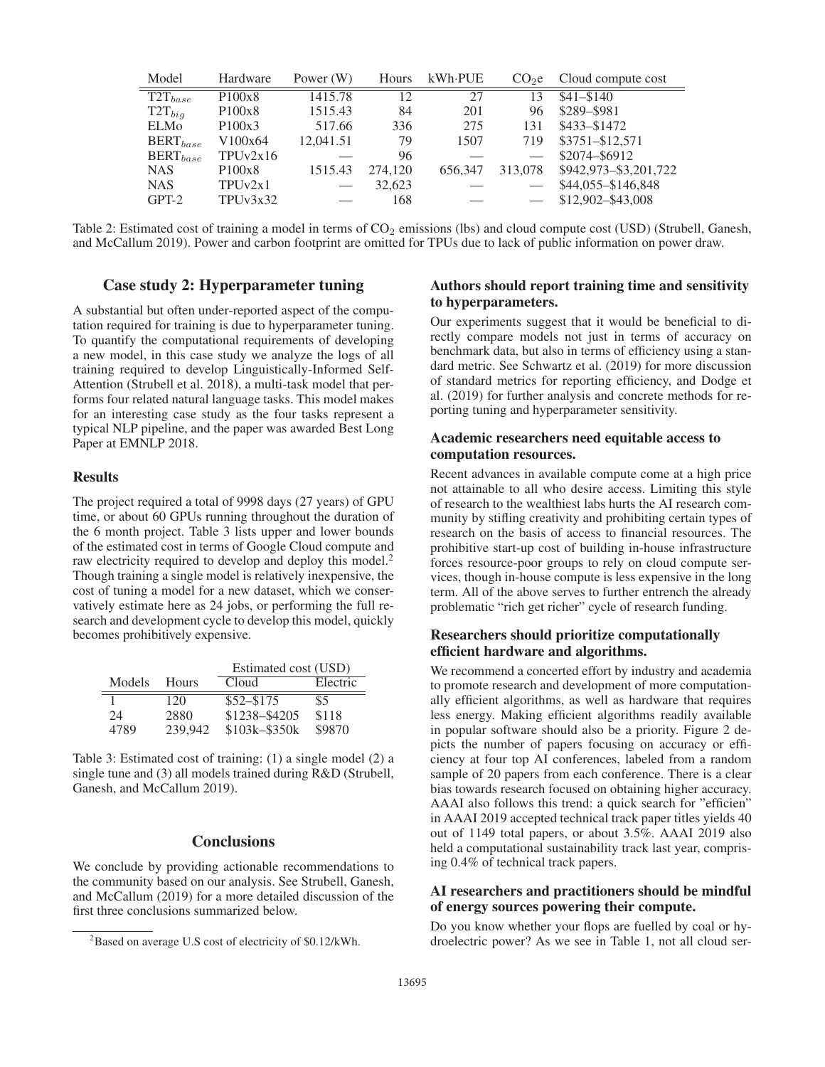| Model         | Hardware | Power $(W)$              | Hours   | $kWh$ -PUE | CO <sub>2</sub> e | Cloud compute cost    |
|---------------|----------|--------------------------|---------|------------|-------------------|-----------------------|
| $T2T_{base}$  | P100x8   | 1415.78                  | 12      | 27         | 13                | $$41 - $140$          |
| $T2T_{big}$   | P100x8   | 1515.43                  | 84      | 201        | 96                | \$289-\$981           |
| ELMo          | P100x3   | 517.66                   | 336     | 275        | 131               | \$433-\$1472          |
| $BERT_{base}$ | V100x64  | 12,041.51                | 79      | 1507       | 719               | \$3751-\$12,571       |
| $BERT_{base}$ | TPUv2x16 |                          | 96      |            |                   | \$2074-\$6912         |
| <b>NAS</b>    | P100x8   | 1515.43                  | 274,120 | 656,347    | 313,078           | \$942,973-\$3,201,722 |
| <b>NAS</b>    | TPUv2x1  | $\overline{\phantom{m}}$ | 32,623  |            |                   | \$44,055-\$146,848    |
| $GPT-2$       | TPUv3x32 |                          | 168     |            |                   | \$12,902-\$43,008     |

Table 2: Estimated cost of training a model in terms of CO<sub>2</sub> emissions (lbs) and cloud compute cost (USD) (Strubell, Ganesh, and McCallum 2019). Power and carbon footprint are omitted for TPUs due to lack of public information on power draw.

### Case study 2: Hyperparameter tuning

A substantial but often under-reported aspect of the computation required for training is due to hyperparameter tuning. To quantify the computational requirements of developing a new model, in this case study we analyze the logs of all training required to develop Linguistically-Informed Self-Attention (Strubell et al. 2018), a multi-task model that performs four related natural language tasks. This model makes for an interesting case study as the four tasks represent a typical NLP pipeline, and the paper was awarded Best Long Paper at EMNLP 2018.

### **Results**

The project required a total of 9998 days (27 years) of GPU time, or about 60 GPUs running throughout the duration of the 6 month project. Table 3 lists upper and lower bounds of the estimated cost in terms of Google Cloud compute and raw electricity required to develop and deploy this model.<sup>2</sup> Though training a single model is relatively inexpensive, the cost of tuning a model for a new dataset, which we conservatively estimate here as 24 jobs, or performing the full research and development cycle to develop this model, quickly becomes prohibitively expensive.

|        |         | Estimated cost (USD) |          |  |
|--------|---------|----------------------|----------|--|
| Models | Hours   | Cloud                | Electric |  |
|        | 120     | $$52 - $175$         | \$5      |  |
| 24     | 2880    | \$1238-\$4205        | \$118    |  |
| 4789   | 239.942 | \$103k-\$350k        | \$9870   |  |

Table 3: Estimated cost of training: (1) a single model (2) a single tune and (3) all models trained during R&D (Strubell, Ganesh, and McCallum 2019).

# **Conclusions**

We conclude by providing actionable recommendations to the community based on our analysis. See Strubell, Ganesh, and McCallum (2019) for a more detailed discussion of the first three conclusions summarized below.

### Authors should report training time and sensitivity to hyperparameters.

Our experiments suggest that it would be beneficial to directly compare models not just in terms of accuracy on benchmark data, but also in terms of efficiency using a standard metric. See Schwartz et al. (2019) for more discussion of standard metrics for reporting efficiency, and Dodge et al. (2019) for further analysis and concrete methods for reporting tuning and hyperparameter sensitivity.

# Academic researchers need equitable access to computation resources.

Recent advances in available compute come at a high price not attainable to all who desire access. Limiting this style of research to the wealthiest labs hurts the AI research community by stifling creativity and prohibiting certain types of research on the basis of access to financial resources. The prohibitive start-up cost of building in-house infrastructure forces resource-poor groups to rely on cloud compute services, though in-house compute is less expensive in the long term. All of the above serves to further entrench the already problematic "rich get richer" cycle of research funding.

# Researchers should prioritize computationally efficient hardware and algorithms.

We recommend a concerted effort by industry and academia to promote research and development of more computationally efficient algorithms, as well as hardware that requires less energy. Making efficient algorithms readily available in popular software should also be a priority. Figure 2 depicts the number of papers focusing on accuracy or efficiency at four top AI conferences, labeled from a random sample of 20 papers from each conference. There is a clear bias towards research focused on obtaining higher accuracy. AAAI also follows this trend: a quick search for "efficien" in AAAI 2019 accepted technical track paper titles yields 40 out of 1149 total papers, or about 3.5%. AAAI 2019 also held a computational sustainability track last year, comprising 0.4% of technical track papers.

# AI researchers and practitioners should be mindful of energy sources powering their compute.

Do you know whether your flops are fuelled by coal or hydroelectric power? As we see in Table 1, not all cloud ser-

<sup>&</sup>lt;sup>2</sup>Based on average U.S cost of electricity of \$0.12/kWh.